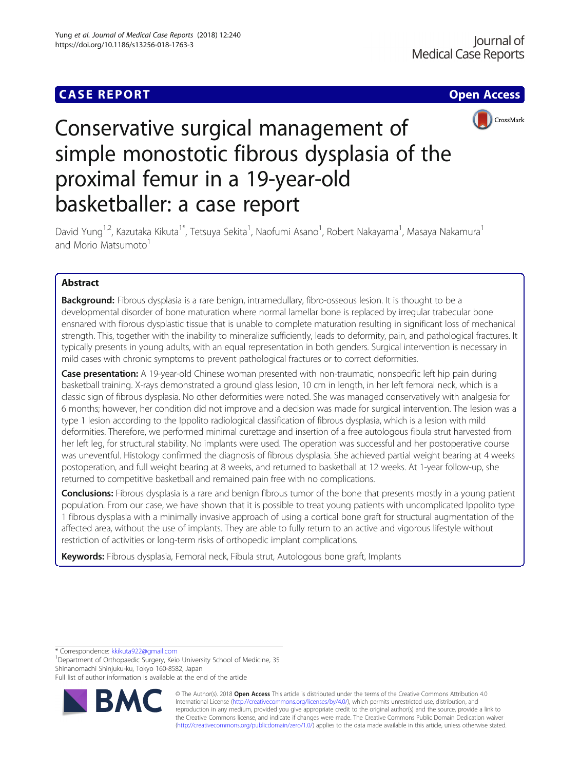# **CASE REPORT CASE ACCESS**



# Conservative surgical management of simple monostotic fibrous dysplasia of the proximal femur in a 19-year-old basketballer: a case report

David Yung<sup>1,2</sup>, Kazutaka Kikuta<sup>1\*</sup>, Tetsuya Sekita<sup>1</sup>, Naofumi Asano<sup>1</sup>, Robert Nakayama<sup>1</sup>, Masaya Nakamura<sup>1</sup> and Morio Matsumoto<sup>1</sup>

# Abstract

**Background:** Fibrous dysplasia is a rare benign, intramedullary, fibro-osseous lesion. It is thought to be a developmental disorder of bone maturation where normal lamellar bone is replaced by irregular trabecular bone ensnared with fibrous dysplastic tissue that is unable to complete maturation resulting in significant loss of mechanical strength. This, together with the inability to mineralize sufficiently, leads to deformity, pain, and pathological fractures. It typically presents in young adults, with an equal representation in both genders. Surgical intervention is necessary in mild cases with chronic symptoms to prevent pathological fractures or to correct deformities.

Case presentation: A 19-year-old Chinese woman presented with non-traumatic, nonspecific left hip pain during basketball training. X-rays demonstrated a ground glass lesion, 10 cm in length, in her left femoral neck, which is a classic sign of fibrous dysplasia. No other deformities were noted. She was managed conservatively with analgesia for 6 months; however, her condition did not improve and a decision was made for surgical intervention. The lesion was a type 1 lesion according to the Ippolito radiological classification of fibrous dysplasia, which is a lesion with mild deformities. Therefore, we performed minimal curettage and insertion of a free autologous fibula strut harvested from her left leg, for structural stability. No implants were used. The operation was successful and her postoperative course was uneventful. Histology confirmed the diagnosis of fibrous dysplasia. She achieved partial weight bearing at 4 weeks postoperation, and full weight bearing at 8 weeks, and returned to basketball at 12 weeks. At 1-year follow-up, she returned to competitive basketball and remained pain free with no complications.

Conclusions: Fibrous dysplasia is a rare and benign fibrous tumor of the bone that presents mostly in a young patient population. From our case, we have shown that it is possible to treat young patients with uncomplicated Ippolito type 1 fibrous dysplasia with a minimally invasive approach of using a cortical bone graft for structural augmentation of the affected area, without the use of implants. They are able to fully return to an active and vigorous lifestyle without restriction of activities or long-term risks of orthopedic implant complications.

Keywords: Fibrous dysplasia, Femoral neck, Fibula strut, Autologous bone graft, Implants

\* Correspondence: [kkikuta922@gmail.com](mailto:kkikuta922@gmail.com) <sup>1</sup>

<sup>1</sup>Department of Orthopaedic Surgery, Keio University School of Medicine, 35 Shinanomachi Shinjuku-ku, Tokyo 160-8582, Japan

Full list of author information is available at the end of the article



© The Author(s). 2018 Open Access This article is distributed under the terms of the Creative Commons Attribution 4.0 International License [\(http://creativecommons.org/licenses/by/4.0/](http://creativecommons.org/licenses/by/4.0/)), which permits unrestricted use, distribution, and reproduction in any medium, provided you give appropriate credit to the original author(s) and the source, provide a link to the Creative Commons license, and indicate if changes were made. The Creative Commons Public Domain Dedication waiver [\(http://creativecommons.org/publicdomain/zero/1.0/](http://creativecommons.org/publicdomain/zero/1.0/)) applies to the data made available in this article, unless otherwise stated.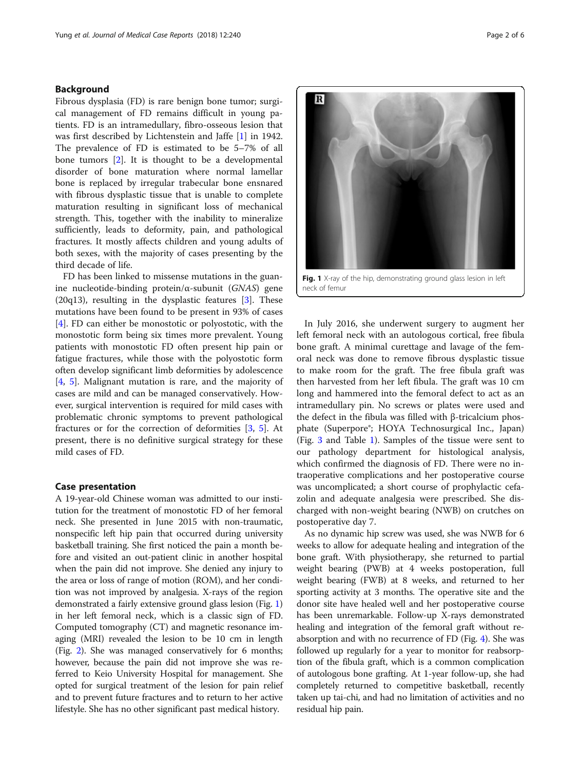# Background

Fibrous dysplasia (FD) is rare benign bone tumor; surgical management of FD remains difficult in young patients. FD is an intramedullary, fibro-osseous lesion that was first described by Lichtenstein and Jaffe [[1\]](#page-5-0) in 1942. The prevalence of FD is estimated to be 5–7% of all bone tumors [\[2\]](#page-5-0). It is thought to be a developmental disorder of bone maturation where normal lamellar bone is replaced by irregular trabecular bone ensnared with fibrous dysplastic tissue that is unable to complete maturation resulting in significant loss of mechanical strength. This, together with the inability to mineralize sufficiently, leads to deformity, pain, and pathological fractures. It mostly affects children and young adults of both sexes, with the majority of cases presenting by the third decade of life.

FD has been linked to missense mutations in the guanine nucleotide-binding protein/α-subunit (GNAS) gene  $(20q13)$ , resulting in the dysplastic features [\[3\]](#page-5-0). These mutations have been found to be present in 93% of cases [[4\]](#page-5-0). FD can either be monostotic or polyostotic, with the monostotic form being six times more prevalent. Young patients with monostotic FD often present hip pain or fatigue fractures, while those with the polyostotic form often develop significant limb deformities by adolescence [[4,](#page-5-0) [5](#page-5-0)]. Malignant mutation is rare, and the majority of cases are mild and can be managed conservatively. However, surgical intervention is required for mild cases with problematic chronic symptoms to prevent pathological fractures or for the correction of deformities [[3,](#page-5-0) [5\]](#page-5-0). At present, there is no definitive surgical strategy for these mild cases of FD.

# Case presentation

A 19-year-old Chinese woman was admitted to our institution for the treatment of monostotic FD of her femoral neck. She presented in June 2015 with non-traumatic, nonspecific left hip pain that occurred during university basketball training. She first noticed the pain a month before and visited an out-patient clinic in another hospital when the pain did not improve. She denied any injury to the area or loss of range of motion (ROM), and her condition was not improved by analgesia. X-rays of the region demonstrated a fairly extensive ground glass lesion (Fig. 1) in her left femoral neck, which is a classic sign of FD. Computed tomography (CT) and magnetic resonance imaging (MRI) revealed the lesion to be 10 cm in length (Fig. [2](#page-2-0)). She was managed conservatively for 6 months; however, because the pain did not improve she was referred to Keio University Hospital for management. She opted for surgical treatment of the lesion for pain relief and to prevent future fractures and to return to her active lifestyle. She has no other significant past medical history.



In July 2016, she underwent surgery to augment her left femoral neck with an autologous cortical, free fibula bone graft. A minimal curettage and lavage of the femoral neck was done to remove fibrous dysplastic tissue to make room for the graft. The free fibula graft was then harvested from her left fibula. The graft was 10 cm long and hammered into the femoral defect to act as an intramedullary pin. No screws or plates were used and the defect in the fibula was filled with β-tricalcium phosphate (Superpore®; HOYA Technosurgical Inc., Japan) (Fig. [3](#page-3-0) and Table [1\)](#page-2-0). Samples of the tissue were sent to our pathology department for histological analysis, which confirmed the diagnosis of FD. There were no intraoperative complications and her postoperative course was uncomplicated; a short course of prophylactic cefazolin and adequate analgesia were prescribed. She discharged with non-weight bearing (NWB) on crutches on postoperative day 7.

As no dynamic hip screw was used, she was NWB for 6 weeks to allow for adequate healing and integration of the bone graft. With physiotherapy, she returned to partial weight bearing (PWB) at 4 weeks postoperation, full weight bearing (FWB) at 8 weeks, and returned to her sporting activity at 3 months. The operative site and the donor site have healed well and her postoperative course has been unremarkable. Follow-up X-rays demonstrated healing and integration of the femoral graft without reabsorption and with no recurrence of FD (Fig. [4](#page-3-0)). She was followed up regularly for a year to monitor for reabsorption of the fibula graft, which is a common complication of autologous bone grafting. At 1-year follow-up, she had completely returned to competitive basketball, recently taken up tai-chi, and had no limitation of activities and no residual hip pain.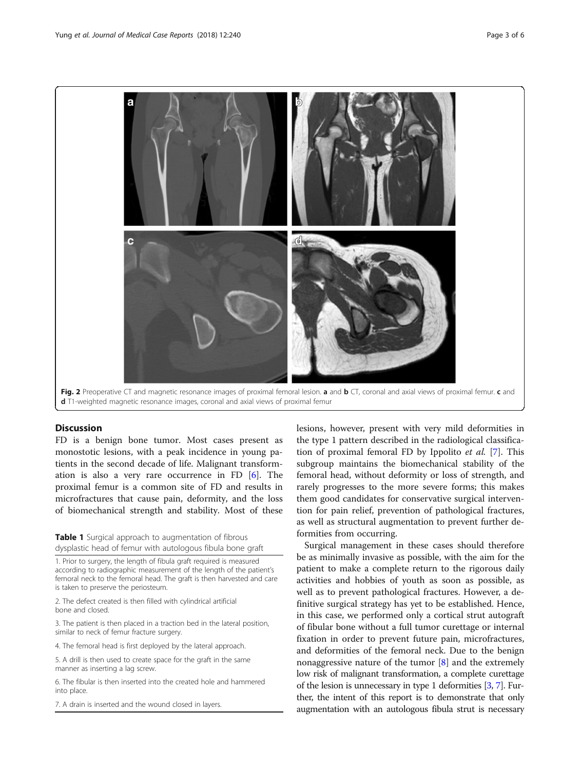<span id="page-2-0"></span>

# **Discussion**

FD is a benign bone tumor. Most cases present as monostotic lesions, with a peak incidence in young patients in the second decade of life. Malignant transformation is also a very rare occurrence in FD [\[6](#page-5-0)]. The proximal femur is a common site of FD and results in microfractures that cause pain, deformity, and the loss of biomechanical strength and stability. Most of these

Table 1 Surgical approach to augmentation of fibrous dysplastic head of femur with autologous fibula bone graft

1. Prior to surgery, the length of fibula graft required is measured according to radiographic measurement of the length of the patient's femoral neck to the femoral head. The graft is then harvested and care is taken to preserve the periosteum.

2. The defect created is then filled with cylindrical artificial bone and closed.

3. The patient is then placed in a traction bed in the lateral position, similar to neck of femur fracture surgery.

4. The femoral head is first deployed by the lateral approach.

5. A drill is then used to create space for the graft in the same manner as inserting a lag screw.

6. The fibular is then inserted into the created hole and hammered into place.

7. A drain is inserted and the wound closed in layers.

lesions, however, present with very mild deformities in the type 1 pattern described in the radiological classification of proximal femoral FD by Ippolito et al. [\[7](#page-5-0)]. This subgroup maintains the biomechanical stability of the femoral head, without deformity or loss of strength, and rarely progresses to the more severe forms; this makes them good candidates for conservative surgical intervention for pain relief, prevention of pathological fractures, as well as structural augmentation to prevent further deformities from occurring.

Surgical management in these cases should therefore be as minimally invasive as possible, with the aim for the patient to make a complete return to the rigorous daily activities and hobbies of youth as soon as possible, as well as to prevent pathological fractures. However, a definitive surgical strategy has yet to be established. Hence, in this case, we performed only a cortical strut autograft of fibular bone without a full tumor curettage or internal fixation in order to prevent future pain, microfractures, and deformities of the femoral neck. Due to the benign nonaggressive nature of the tumor  $[8]$  $[8]$  and the extremely low risk of malignant transformation, a complete curettage of the lesion is unnecessary in type 1 deformities [\[3,](#page-5-0) [7](#page-5-0)]. Further, the intent of this report is to demonstrate that only augmentation with an autologous fibula strut is necessary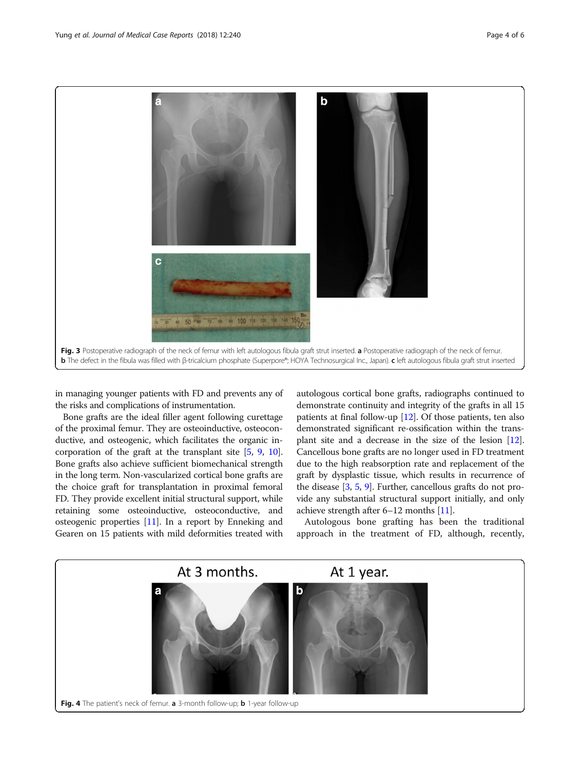<span id="page-3-0"></span>

in managing younger patients with FD and prevents any of the risks and complications of instrumentation.

Bone grafts are the ideal filler agent following curettage of the proximal femur. They are osteoinductive, osteoconductive, and osteogenic, which facilitates the organic incorporation of the graft at the transplant site [\[5](#page-5-0), [9](#page-5-0), [10](#page-5-0)]. Bone grafts also achieve sufficient biomechanical strength in the long term. Non-vascularized cortical bone grafts are the choice graft for transplantation in proximal femoral FD. They provide excellent initial structural support, while retaining some osteoinductive, osteoconductive, and osteogenic properties [[11](#page-5-0)]. In a report by Enneking and Gearen on 15 patients with mild deformities treated with autologous cortical bone grafts, radiographs continued to demonstrate continuity and integrity of the grafts in all 15 patients at final follow-up [[12](#page-5-0)]. Of those patients, ten also demonstrated significant re-ossification within the transplant site and a decrease in the size of the lesion [[12](#page-5-0)]. Cancellous bone grafts are no longer used in FD treatment due to the high reabsorption rate and replacement of the graft by dysplastic tissue, which results in recurrence of the disease [[3](#page-5-0), [5](#page-5-0), [9](#page-5-0)]. Further, cancellous grafts do not provide any substantial structural support initially, and only achieve strength after 6–12 months [\[11\]](#page-5-0).

Autologous bone grafting has been the traditional approach in the treatment of FD, although, recently,

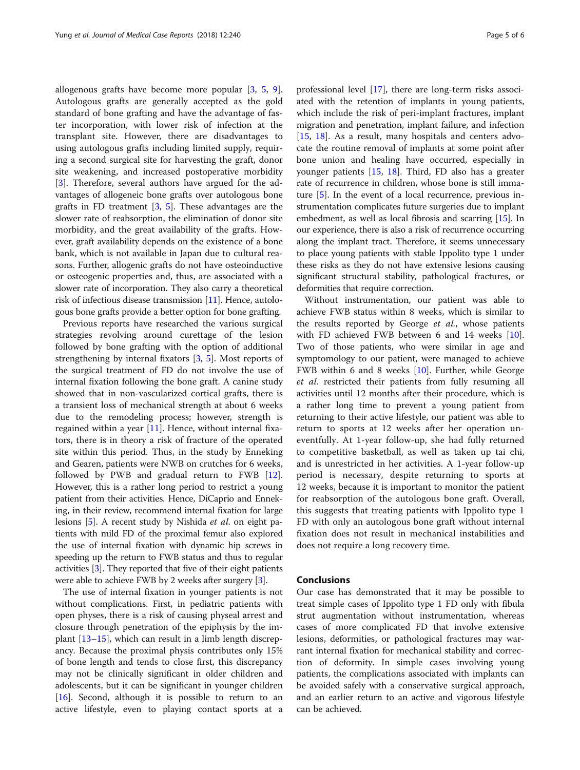allogenous grafts have become more popular [[3,](#page-5-0) [5](#page-5-0), [9](#page-5-0)]. Autologous grafts are generally accepted as the gold standard of bone grafting and have the advantage of faster incorporation, with lower risk of infection at the transplant site. However, there are disadvantages to using autologous grafts including limited supply, requiring a second surgical site for harvesting the graft, donor site weakening, and increased postoperative morbidity [[3\]](#page-5-0). Therefore, several authors have argued for the advantages of allogeneic bone grafts over autologous bone grafts in FD treatment [[3,](#page-5-0) [5\]](#page-5-0). These advantages are the slower rate of reabsorption, the elimination of donor site morbidity, and the great availability of the grafts. However, graft availability depends on the existence of a bone bank, which is not available in Japan due to cultural reasons. Further, allogenic grafts do not have osteoinductive or osteogenic properties and, thus, are associated with a slower rate of incorporation. They also carry a theoretical risk of infectious disease transmission [[11](#page-5-0)]. Hence, autologous bone grafts provide a better option for bone grafting.

Previous reports have researched the various surgical strategies revolving around curettage of the lesion followed by bone grafting with the option of additional strengthening by internal fixators [\[3](#page-5-0), [5\]](#page-5-0). Most reports of the surgical treatment of FD do not involve the use of internal fixation following the bone graft. A canine study showed that in non-vascularized cortical grafts, there is a transient loss of mechanical strength at about 6 weeks due to the remodeling process; however, strength is regained within a year [[11\]](#page-5-0). Hence, without internal fixators, there is in theory a risk of fracture of the operated site within this period. Thus, in the study by Enneking and Gearen, patients were NWB on crutches for 6 weeks, followed by PWB and gradual return to FWB [\[12](#page-5-0)]. However, this is a rather long period to restrict a young patient from their activities. Hence, DiCaprio and Enneking, in their review, recommend internal fixation for large lesions [\[5](#page-5-0)]. A recent study by Nishida et al. on eight patients with mild FD of the proximal femur also explored the use of internal fixation with dynamic hip screws in speeding up the return to FWB status and thus to regular activities [\[3\]](#page-5-0). They reported that five of their eight patients were able to achieve FWB by 2 weeks after surgery [\[3\]](#page-5-0).

The use of internal fixation in younger patients is not without complications. First, in pediatric patients with open physes, there is a risk of causing physeal arrest and closure through penetration of the epiphysis by the implant [[13](#page-5-0)–[15](#page-5-0)], which can result in a limb length discrepancy. Because the proximal physis contributes only 15% of bone length and tends to close first, this discrepancy may not be clinically significant in older children and adolescents, but it can be significant in younger children [[16\]](#page-5-0). Second, although it is possible to return to an active lifestyle, even to playing contact sports at a professional level [\[17\]](#page-5-0), there are long-term risks associated with the retention of implants in young patients, which include the risk of peri-implant fractures, implant migration and penetration, implant failure, and infection [[15,](#page-5-0) [18\]](#page-5-0). As a result, many hospitals and centers advocate the routine removal of implants at some point after bone union and healing have occurred, especially in younger patients [[15,](#page-5-0) [18\]](#page-5-0). Third, FD also has a greater rate of recurrence in children, whose bone is still immature [\[5](#page-5-0)]. In the event of a local recurrence, previous instrumentation complicates future surgeries due to implant embedment, as well as local fibrosis and scarring [[15](#page-5-0)]. In our experience, there is also a risk of recurrence occurring along the implant tract. Therefore, it seems unnecessary to place young patients with stable Ippolito type 1 under these risks as they do not have extensive lesions causing significant structural stability, pathological fractures, or deformities that require correction.

Without instrumentation, our patient was able to achieve FWB status within 8 weeks, which is similar to the results reported by George et al., whose patients with FD achieved FWB between 6 and 14 weeks [\[10](#page-5-0)]. Two of those patients, who were similar in age and symptomology to our patient, were managed to achieve FWB within 6 and 8 weeks [\[10\]](#page-5-0). Further, while George et al. restricted their patients from fully resuming all activities until 12 months after their procedure, which is a rather long time to prevent a young patient from returning to their active lifestyle, our patient was able to return to sports at 12 weeks after her operation uneventfully. At 1-year follow-up, she had fully returned to competitive basketball, as well as taken up tai chi, and is unrestricted in her activities. A 1-year follow-up period is necessary, despite returning to sports at 12 weeks, because it is important to monitor the patient for reabsorption of the autologous bone graft. Overall, this suggests that treating patients with Ippolito type 1 FD with only an autologous bone graft without internal fixation does not result in mechanical instabilities and does not require a long recovery time.

# Conclusions

Our case has demonstrated that it may be possible to treat simple cases of Ippolito type 1 FD only with fibula strut augmentation without instrumentation, whereas cases of more complicated FD that involve extensive lesions, deformities, or pathological fractures may warrant internal fixation for mechanical stability and correction of deformity. In simple cases involving young patients, the complications associated with implants can be avoided safely with a conservative surgical approach, and an earlier return to an active and vigorous lifestyle can be achieved.